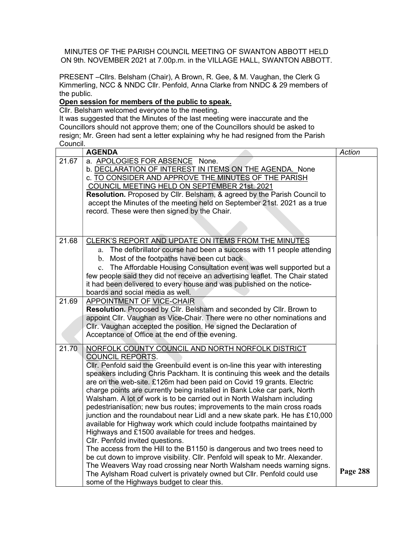MINUTES OF THE PARISH COUNCIL MEETING OF SWANTON ABBOTT HELD ON 9th. NOVEMBER 2021 at 7.00p.m. in the VILLAGE HALL, SWANTON ABBOTT.

PRESENT –Cllrs. Belsham (Chair), A Brown, R. Gee, & M. Vaughan, the Clerk G Kimmerling, NCC & NNDC Cllr. Penfold, Anna Clarke from NNDC & 29 members of the public.

## Open session for members of the public to speak.

Cllr. Belsham welcomed everyone to the meeting.

It was suggested that the Minutes of the last meeting were inaccurate and the Councillors should not approve them; one of the Councillors should be asked to resign; Mr. Green had sent a letter explaining why he had resigned from the Parish Council.

|       | <b>AGENDA</b>                                                                                                                                     | Action   |
|-------|---------------------------------------------------------------------------------------------------------------------------------------------------|----------|
| 21.67 | a. APOLOGIES FOR ABSENCE None.                                                                                                                    |          |
|       | b. DECLARATION OF INTEREST IN ITEMS ON THE AGENDA. None                                                                                           |          |
|       | c. TO CONSIDER AND APPROVE THE MINUTES OF THE PARISH                                                                                              |          |
|       | COUNCIL MEETING HELD ON SEPTEMBER 21st. 2021                                                                                                      |          |
|       | Resolution. Proposed by Cllr. Belsham, & agreed by the Parish Council to                                                                          |          |
|       | accept the Minutes of the meeting held on September 21st. 2021 as a true                                                                          |          |
|       | record. These were then signed by the Chair.                                                                                                      |          |
|       |                                                                                                                                                   |          |
|       |                                                                                                                                                   |          |
| 21.68 | CLERK'S REPORT AND UPDATE ON ITEMS FROM THE MINUTES                                                                                               |          |
|       | The defibrillator course had been a success with 11 people attending<br>a.                                                                        |          |
|       | b. Most of the footpaths have been cut back                                                                                                       |          |
|       | c. The Affordable Housing Consultation event was well supported but a                                                                             |          |
|       | few people said they did not receive an advertising leaflet. The Chair stated                                                                     |          |
|       | it had been delivered to every house and was published on the notice-                                                                             |          |
|       | boards and social media as well.                                                                                                                  |          |
| 21.69 | <b>APPOINTMENT OF VICE-CHAIR</b>                                                                                                                  |          |
|       | Resolution. Proposed by Cllr. Belsham and seconded by Cllr. Brown to                                                                              |          |
|       | appoint Cllr. Vaughan as Vice-Chair. There were no other nominations and                                                                          |          |
|       | Cllr. Vaughan accepted the position. He signed the Declaration of                                                                                 |          |
|       | Acceptance of Office at the end of the evening.                                                                                                   |          |
|       |                                                                                                                                                   |          |
| 21.70 | NORFOLK COUNTY COUNCIL AND NORTH NORFOLK DISTRICT                                                                                                 |          |
|       | <b>COUNCIL REPORTS.</b>                                                                                                                           |          |
|       | CIIr. Penfold said the Greenbuild event is on-line this year with interesting                                                                     |          |
|       | speakers including Chris Packham. It is continuing this week and the details                                                                      |          |
|       | are on the web-site. £126m had been paid on Covid 19 grants. Electric                                                                             |          |
|       | charge points are currently being installed in Bank Loke car park, North                                                                          |          |
|       | Walsham. A lot of work is to be carried out in North Walsham including<br>pedestrianisation; new bus routes; improvements to the main cross roads |          |
|       | junction and the roundabout near Lidl and a new skate park. He has £10,000                                                                        |          |
|       | available for Highway work which could include footpaths maintained by                                                                            |          |
|       | Highways and £1500 available for trees and hedges.                                                                                                |          |
|       | Cllr. Penfold invited questions.                                                                                                                  |          |
|       | The access from the Hill to the B1150 is dangerous and two trees need to                                                                          |          |
|       | be cut down to improve visibility. Cllr. Penfold will speak to Mr. Alexander.                                                                     |          |
|       | The Weavers Way road crossing near North Walsham needs warning signs.                                                                             |          |
|       | The Aylsham Road culvert is privately owned but Cllr. Penfold could use                                                                           | Page 288 |
|       | some of the Highways budget to clear this.                                                                                                        |          |
|       |                                                                                                                                                   |          |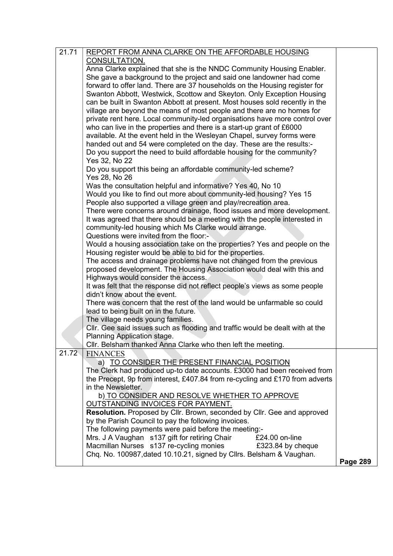| 21.71 | REPORT FROM ANNA CLARKE ON THE AFFORDABLE HOUSING                             |                 |
|-------|-------------------------------------------------------------------------------|-----------------|
|       | CONSULTATION.                                                                 |                 |
|       | Anna Clarke explained that she is the NNDC Community Housing Enabler.         |                 |
|       | She gave a background to the project and said one landowner had come          |                 |
|       | forward to offer land. There are 37 households on the Housing register for    |                 |
|       | Swanton Abbott, Westwick, Scottow and Skeyton. Only Exception Housing         |                 |
|       | can be built in Swanton Abbott at present. Most houses sold recently in the   |                 |
|       | village are beyond the means of most people and there are no homes for        |                 |
|       | private rent here. Local community-led organisations have more control over   |                 |
|       | who can live in the properties and there is a start-up grant of £6000         |                 |
|       | available. At the event held in the Wesleyan Chapel, survey forms were        |                 |
|       | handed out and 54 were completed on the day. These are the results:-          |                 |
|       | Do you support the need to build affordable housing for the community?        |                 |
|       |                                                                               |                 |
|       | Yes 32, No 22                                                                 |                 |
|       | Do you support this being an affordable community-led scheme?                 |                 |
|       | Yes 28, No 26                                                                 |                 |
|       | Was the consultation helpful and informative? Yes 40, No 10                   |                 |
|       | Would you like to find out more about community-led housing? Yes 15           |                 |
|       | People also supported a village green and play/recreation area.               |                 |
|       | There were concerns around drainage, flood issues and more development.       |                 |
|       | It was agreed that there should be a meeting with the people interested in    |                 |
|       | community-led housing which Ms Clarke would arrange.                          |                 |
|       | Questions were invited from the floor:-                                       |                 |
|       | Would a housing association take on the properties? Yes and people on the     |                 |
|       | Housing register would be able to bid for the properties.                     |                 |
|       | The access and drainage problems have not changed from the previous           |                 |
|       | proposed development. The Housing Association would deal with this and        |                 |
|       | Highways would consider the access.                                           |                 |
|       | It was felt that the response did not reflect people's views as some people   |                 |
|       | didn't know about the event.                                                  |                 |
|       | There was concern that the rest of the land would be unfarmable so could      |                 |
|       | lead to being built on in the future.                                         |                 |
|       | The village needs young families.                                             |                 |
|       | Cllr. Gee said issues such as flooding and traffic would be dealt with at the |                 |
|       | Planning Application stage.                                                   |                 |
|       | Cllr. Belsham thanked Anna Clarke who then left the meeting.                  |                 |
| 21.72 | <b>FINANCES</b>                                                               |                 |
|       | a) TO CONSIDER THE PRESENT FINANCIAL POSITION                                 |                 |
|       | The Clerk had produced up-to date accounts. £3000 had been received from      |                 |
|       | the Precept, 9p from interest, £407.84 from re-cycling and £170 from adverts  |                 |
|       | in the Newsletter.                                                            |                 |
|       | b) TO CONSIDER AND RESOLVE WHETHER TO APPROVE                                 |                 |
|       | OUTSTANDING INVOICES FOR PAYMENT.                                             |                 |
|       | Resolution. Proposed by Cllr. Brown, seconded by Cllr. Gee and approved       |                 |
|       | by the Parish Council to pay the following invoices.                          |                 |
|       | The following payments were paid before the meeting:-                         |                 |
|       | Mrs. J A Vaughan s137 gift for retiring Chair<br>£24.00 on-line               |                 |
|       | Macmillan Nurses s137 re-cycling monies<br>£323.84 by cheque                  |                 |
|       | Chq. No. 100987, dated 10.10.21, signed by Cllrs. Belsham & Vaughan.          |                 |
|       |                                                                               | <b>Page 289</b> |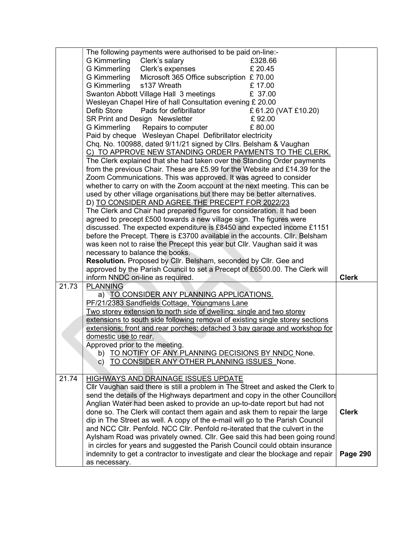|       | The following payments were authorised to be paid on-line:-                                                                                                                                                                                                                                                                                                                                                                                                                                                                                                                                                                                                                                                                                                                                                                                                                                                                                                                                                                                                                                                                                                                                                                                                                                        |                                 |
|-------|----------------------------------------------------------------------------------------------------------------------------------------------------------------------------------------------------------------------------------------------------------------------------------------------------------------------------------------------------------------------------------------------------------------------------------------------------------------------------------------------------------------------------------------------------------------------------------------------------------------------------------------------------------------------------------------------------------------------------------------------------------------------------------------------------------------------------------------------------------------------------------------------------------------------------------------------------------------------------------------------------------------------------------------------------------------------------------------------------------------------------------------------------------------------------------------------------------------------------------------------------------------------------------------------------|---------------------------------|
|       | G Kimmerling Clerk's salary<br>£328.66                                                                                                                                                                                                                                                                                                                                                                                                                                                                                                                                                                                                                                                                                                                                                                                                                                                                                                                                                                                                                                                                                                                                                                                                                                                             |                                 |
|       | G Kimmerling<br>Clerk's expenses<br>£ 20.45                                                                                                                                                                                                                                                                                                                                                                                                                                                                                                                                                                                                                                                                                                                                                                                                                                                                                                                                                                                                                                                                                                                                                                                                                                                        |                                 |
|       | G Kimmerling<br>Microsoft 365 Office subscription £70.00                                                                                                                                                                                                                                                                                                                                                                                                                                                                                                                                                                                                                                                                                                                                                                                                                                                                                                                                                                                                                                                                                                                                                                                                                                           |                                 |
|       | <b>G Kimmerling</b><br>£17.00<br>s137 Wreath                                                                                                                                                                                                                                                                                                                                                                                                                                                                                                                                                                                                                                                                                                                                                                                                                                                                                                                                                                                                                                                                                                                                                                                                                                                       |                                 |
|       | £ 37.00<br>Swanton Abbott Village Hall 3 meetings                                                                                                                                                                                                                                                                                                                                                                                                                                                                                                                                                                                                                                                                                                                                                                                                                                                                                                                                                                                                                                                                                                                                                                                                                                                  |                                 |
|       | Wesleyan Chapel Hire of hall Consultation evening £ 20.00                                                                                                                                                                                                                                                                                                                                                                                                                                                                                                                                                                                                                                                                                                                                                                                                                                                                                                                                                                                                                                                                                                                                                                                                                                          |                                 |
|       | £ 61.20 (VAT £10.20)<br>Defib Store<br>Pads for defibrillator                                                                                                                                                                                                                                                                                                                                                                                                                                                                                                                                                                                                                                                                                                                                                                                                                                                                                                                                                                                                                                                                                                                                                                                                                                      |                                 |
|       | SR Print and Design Newsletter<br>£92.00                                                                                                                                                                                                                                                                                                                                                                                                                                                                                                                                                                                                                                                                                                                                                                                                                                                                                                                                                                                                                                                                                                                                                                                                                                                           |                                 |
|       | <b>G Kimmerling</b><br>Repairs to computer<br>£80.00                                                                                                                                                                                                                                                                                                                                                                                                                                                                                                                                                                                                                                                                                                                                                                                                                                                                                                                                                                                                                                                                                                                                                                                                                                               |                                 |
|       | Paid by cheque Wesleyan Chapel Defibrillator electricity                                                                                                                                                                                                                                                                                                                                                                                                                                                                                                                                                                                                                                                                                                                                                                                                                                                                                                                                                                                                                                                                                                                                                                                                                                           |                                 |
|       | Chq. No. 100988, dated 9/11/21 signed by Cllrs. Belsham & Vaughan                                                                                                                                                                                                                                                                                                                                                                                                                                                                                                                                                                                                                                                                                                                                                                                                                                                                                                                                                                                                                                                                                                                                                                                                                                  |                                 |
|       | C) TO APPROVE NEW STANDING ORDER PAYMENTS TO THE CLERK.                                                                                                                                                                                                                                                                                                                                                                                                                                                                                                                                                                                                                                                                                                                                                                                                                                                                                                                                                                                                                                                                                                                                                                                                                                            |                                 |
|       | The Clerk explained that she had taken over the Standing Order payments                                                                                                                                                                                                                                                                                                                                                                                                                                                                                                                                                                                                                                                                                                                                                                                                                                                                                                                                                                                                                                                                                                                                                                                                                            |                                 |
|       | from the previous Chair. These are £5.99 for the Website and £14.39 for the                                                                                                                                                                                                                                                                                                                                                                                                                                                                                                                                                                                                                                                                                                                                                                                                                                                                                                                                                                                                                                                                                                                                                                                                                        |                                 |
|       | Zoom Communications. This was approved. It was agreed to consider                                                                                                                                                                                                                                                                                                                                                                                                                                                                                                                                                                                                                                                                                                                                                                                                                                                                                                                                                                                                                                                                                                                                                                                                                                  |                                 |
|       | whether to carry on with the Zoom account at the next meeting. This can be                                                                                                                                                                                                                                                                                                                                                                                                                                                                                                                                                                                                                                                                                                                                                                                                                                                                                                                                                                                                                                                                                                                                                                                                                         |                                 |
|       | used by other village organisations but there may be better alternatives.                                                                                                                                                                                                                                                                                                                                                                                                                                                                                                                                                                                                                                                                                                                                                                                                                                                                                                                                                                                                                                                                                                                                                                                                                          |                                 |
|       | D) TO CONSIDER AND AGREE THE PRECEPT FOR 2022/23                                                                                                                                                                                                                                                                                                                                                                                                                                                                                                                                                                                                                                                                                                                                                                                                                                                                                                                                                                                                                                                                                                                                                                                                                                                   |                                 |
|       | The Clerk and Chair had prepared figures for consideration. It had been                                                                                                                                                                                                                                                                                                                                                                                                                                                                                                                                                                                                                                                                                                                                                                                                                                                                                                                                                                                                                                                                                                                                                                                                                            |                                 |
|       | agreed to precept £500 towards a new village sign. The figures were                                                                                                                                                                                                                                                                                                                                                                                                                                                                                                                                                                                                                                                                                                                                                                                                                                                                                                                                                                                                                                                                                                                                                                                                                                |                                 |
|       | discussed. The expected expenditure is £8450 and expected income £1151                                                                                                                                                                                                                                                                                                                                                                                                                                                                                                                                                                                                                                                                                                                                                                                                                                                                                                                                                                                                                                                                                                                                                                                                                             |                                 |
|       | before the Precept. There is £3700 available in the accounts. Cllr. Belsham                                                                                                                                                                                                                                                                                                                                                                                                                                                                                                                                                                                                                                                                                                                                                                                                                                                                                                                                                                                                                                                                                                                                                                                                                        |                                 |
|       | was keen not to raise the Precept this year but Cllr. Vaughan said it was                                                                                                                                                                                                                                                                                                                                                                                                                                                                                                                                                                                                                                                                                                                                                                                                                                                                                                                                                                                                                                                                                                                                                                                                                          |                                 |
|       | necessary to balance the books.                                                                                                                                                                                                                                                                                                                                                                                                                                                                                                                                                                                                                                                                                                                                                                                                                                                                                                                                                                                                                                                                                                                                                                                                                                                                    |                                 |
|       | Resolution. Proposed by Cllr. Belsham, seconded by Cllr. Gee and                                                                                                                                                                                                                                                                                                                                                                                                                                                                                                                                                                                                                                                                                                                                                                                                                                                                                                                                                                                                                                                                                                                                                                                                                                   |                                 |
|       | approved by the Parish Council to set a Precept of £6500.00. The Clerk will                                                                                                                                                                                                                                                                                                                                                                                                                                                                                                                                                                                                                                                                                                                                                                                                                                                                                                                                                                                                                                                                                                                                                                                                                        |                                 |
|       | inform NNDC on-line as required.                                                                                                                                                                                                                                                                                                                                                                                                                                                                                                                                                                                                                                                                                                                                                                                                                                                                                                                                                                                                                                                                                                                                                                                                                                                                   | <b>Clerk</b>                    |
| 21.73 | <b>PLANNING</b>                                                                                                                                                                                                                                                                                                                                                                                                                                                                                                                                                                                                                                                                                                                                                                                                                                                                                                                                                                                                                                                                                                                                                                                                                                                                                    |                                 |
|       |                                                                                                                                                                                                                                                                                                                                                                                                                                                                                                                                                                                                                                                                                                                                                                                                                                                                                                                                                                                                                                                                                                                                                                                                                                                                                                    |                                 |
|       |                                                                                                                                                                                                                                                                                                                                                                                                                                                                                                                                                                                                                                                                                                                                                                                                                                                                                                                                                                                                                                                                                                                                                                                                                                                                                                    |                                 |
|       |                                                                                                                                                                                                                                                                                                                                                                                                                                                                                                                                                                                                                                                                                                                                                                                                                                                                                                                                                                                                                                                                                                                                                                                                                                                                                                    |                                 |
|       |                                                                                                                                                                                                                                                                                                                                                                                                                                                                                                                                                                                                                                                                                                                                                                                                                                                                                                                                                                                                                                                                                                                                                                                                                                                                                                    |                                 |
|       |                                                                                                                                                                                                                                                                                                                                                                                                                                                                                                                                                                                                                                                                                                                                                                                                                                                                                                                                                                                                                                                                                                                                                                                                                                                                                                    |                                 |
|       |                                                                                                                                                                                                                                                                                                                                                                                                                                                                                                                                                                                                                                                                                                                                                                                                                                                                                                                                                                                                                                                                                                                                                                                                                                                                                                    |                                 |
|       |                                                                                                                                                                                                                                                                                                                                                                                                                                                                                                                                                                                                                                                                                                                                                                                                                                                                                                                                                                                                                                                                                                                                                                                                                                                                                                    |                                 |
|       |                                                                                                                                                                                                                                                                                                                                                                                                                                                                                                                                                                                                                                                                                                                                                                                                                                                                                                                                                                                                                                                                                                                                                                                                                                                                                                    |                                 |
|       |                                                                                                                                                                                                                                                                                                                                                                                                                                                                                                                                                                                                                                                                                                                                                                                                                                                                                                                                                                                                                                                                                                                                                                                                                                                                                                    |                                 |
|       |                                                                                                                                                                                                                                                                                                                                                                                                                                                                                                                                                                                                                                                                                                                                                                                                                                                                                                                                                                                                                                                                                                                                                                                                                                                                                                    |                                 |
|       |                                                                                                                                                                                                                                                                                                                                                                                                                                                                                                                                                                                                                                                                                                                                                                                                                                                                                                                                                                                                                                                                                                                                                                                                                                                                                                    |                                 |
|       |                                                                                                                                                                                                                                                                                                                                                                                                                                                                                                                                                                                                                                                                                                                                                                                                                                                                                                                                                                                                                                                                                                                                                                                                                                                                                                    |                                 |
|       |                                                                                                                                                                                                                                                                                                                                                                                                                                                                                                                                                                                                                                                                                                                                                                                                                                                                                                                                                                                                                                                                                                                                                                                                                                                                                                    |                                 |
|       |                                                                                                                                                                                                                                                                                                                                                                                                                                                                                                                                                                                                                                                                                                                                                                                                                                                                                                                                                                                                                                                                                                                                                                                                                                                                                                    |                                 |
|       |                                                                                                                                                                                                                                                                                                                                                                                                                                                                                                                                                                                                                                                                                                                                                                                                                                                                                                                                                                                                                                                                                                                                                                                                                                                                                                    |                                 |
|       |                                                                                                                                                                                                                                                                                                                                                                                                                                                                                                                                                                                                                                                                                                                                                                                                                                                                                                                                                                                                                                                                                                                                                                                                                                                                                                    |                                 |
|       |                                                                                                                                                                                                                                                                                                                                                                                                                                                                                                                                                                                                                                                                                                                                                                                                                                                                                                                                                                                                                                                                                                                                                                                                                                                                                                    |                                 |
|       |                                                                                                                                                                                                                                                                                                                                                                                                                                                                                                                                                                                                                                                                                                                                                                                                                                                                                                                                                                                                                                                                                                                                                                                                                                                                                                    |                                 |
|       |                                                                                                                                                                                                                                                                                                                                                                                                                                                                                                                                                                                                                                                                                                                                                                                                                                                                                                                                                                                                                                                                                                                                                                                                                                                                                                    |                                 |
|       |                                                                                                                                                                                                                                                                                                                                                                                                                                                                                                                                                                                                                                                                                                                                                                                                                                                                                                                                                                                                                                                                                                                                                                                                                                                                                                    |                                 |
|       | as necessary.                                                                                                                                                                                                                                                                                                                                                                                                                                                                                                                                                                                                                                                                                                                                                                                                                                                                                                                                                                                                                                                                                                                                                                                                                                                                                      |                                 |
| 21.74 | a) TO CONSIDER ANY PLANNING APPLICATIONS.<br>PF/21/2383 Sandfields Cottage, Youngmans Lane<br>Two storey extension to north side of dwelling: single and two storey<br>extensions to south side following removal of existing single storey sections<br>extensions; front and rear porches; detached 3 bay garage and workshop for<br>domestic use to rear.<br>Approved prior to the meeting.<br>b) TO NOTIFY OF ANY PLANNING DECISIONS BY NNDC None.<br>TO CONSIDER ANY OTHER PLANNING ISSUES None.<br>c).<br>HIGHWAYS AND DRAINAGE ISSUES UPDATE<br>Cllr Vaughan said there is still a problem in The Street and asked the Clerk to<br>send the details of the Highways department and copy in the other Councillors<br>Anglian Water had been asked to provide an up-to-date report but had not<br>done so. The Clerk will contact them again and ask them to repair the large<br>dip in The Street as well. A copy of the e-mail will go to the Parish Council<br>and NCC CIIr. Penfold. NCC CIIr. Penfold re-iterated that the culvert in the<br>Aylsham Road was privately owned. Cllr. Gee said this had been going round<br>in circles for years and suggested the Parish Council could obtain insurance<br>indemnity to get a contractor to investigate and clear the blockage and repair | <b>Clerk</b><br><b>Page 290</b> |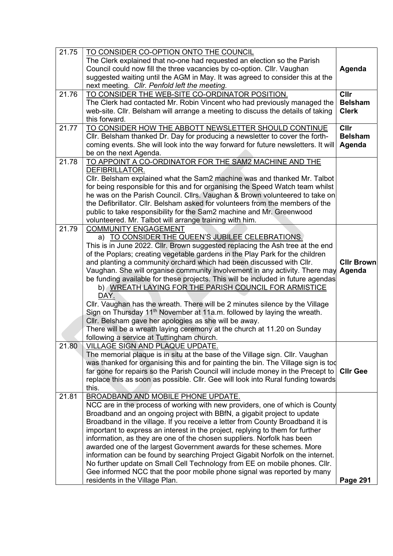| 21.75 | TO CONSIDER CO-OPTION ONTO THE COUNCIL                                                                                                                       |                   |
|-------|--------------------------------------------------------------------------------------------------------------------------------------------------------------|-------------------|
|       | The Clerk explained that no-one had requested an election so the Parish                                                                                      |                   |
|       | Council could now fill the three vacancies by co-option. Cllr. Vaughan                                                                                       | Agenda            |
|       | suggested waiting until the AGM in May. It was agreed to consider this at the                                                                                |                   |
|       | next meeting. Cllr. Penfold left the meeting.                                                                                                                |                   |
| 21.76 | TO CONSIDER THE WEB-SITE CO-ORDINATOR POSITION.                                                                                                              | Cllr              |
|       | The Clerk had contacted Mr. Robin Vincent who had previously managed the                                                                                     | <b>Belsham</b>    |
|       | web-site. Cllr. Belsham will arrange a meeting to discuss the details of taking                                                                              | <b>Clerk</b>      |
|       | this forward.                                                                                                                                                |                   |
| 21.77 | TO CONSIDER HOW THE ABBOTT NEWSLETTER SHOULD CONTINUE                                                                                                        | Cllr              |
|       | Cllr. Belsham thanked Dr. Day for producing a newsletter to cover the forth-                                                                                 | <b>Belsham</b>    |
|       | coming events. She will look into the way forward for future newsletters. It will                                                                            | Agenda            |
|       | be on the next Agenda.                                                                                                                                       |                   |
| 21.78 | TO APPOINT A CO-ORDINATOR FOR THE SAM2 MACHINE AND THE                                                                                                       |                   |
|       | DEFIBRILLATOR.                                                                                                                                               |                   |
|       | CIIr. Belsham explained what the Sam2 machine was and thanked Mr. Talbot                                                                                     |                   |
|       | for being responsible for this and for organising the Speed Watch team whilst                                                                                |                   |
|       | he was on the Parish Council. Cllrs. Vaughan & Brown volunteered to take on                                                                                  |                   |
|       | the Defibrillator. Cllr. Belsham asked for volunteers from the members of the                                                                                |                   |
|       | public to take responsibility for the Sam2 machine and Mr. Greenwood                                                                                         |                   |
|       | volunteered. Mr. Talbot will arrange training with him.                                                                                                      |                   |
| 21.79 | <b>COMMUNITY ENGAGEMENT</b>                                                                                                                                  |                   |
|       | a) TO CONSIDER THE QUEEN'S JUBILEE CELEBRATIONS.                                                                                                             |                   |
|       | This is in June 2022. Cllr. Brown suggested replacing the Ash tree at the end                                                                                |                   |
|       | of the Poplars; creating vegetable gardens in the Play Park for the children                                                                                 |                   |
|       | and planting a community orchard which had been discussed with Cllr.                                                                                         | <b>Cllr Brown</b> |
|       | Vaughan. She will organise community involvement in any activity. There may                                                                                  | Agenda            |
|       | be funding available for these projects. This will be included in future agendas                                                                             |                   |
|       | b) WREATH LAYING FOR THE PARISH COUNCIL FOR ARMISTICE                                                                                                        |                   |
|       | DAY.                                                                                                                                                         |                   |
|       | Cllr. Vaughan has the wreath. There will be 2 minutes silence by the Village                                                                                 |                   |
|       | Sign on Thursday 11 <sup>th</sup> November at 11a.m. followed by laying the wreath.                                                                          |                   |
|       | Cllr. Belsham gave her apologies as she will be away.                                                                                                        |                   |
|       | There will be a wreath laying ceremony at the church at 11.20 on Sunday                                                                                      |                   |
|       | following a service at Tuttingham church.                                                                                                                    |                   |
| 21.80 | <b>VILLAGE SIGN AND PLAQUE UPDATE.</b>                                                                                                                       |                   |
|       | The memorial plaque is in situ at the base of the Village sign. Cllr. Vaughan                                                                                |                   |
|       | was thanked for organising this and for painting the bin. The Village sign is tod                                                                            |                   |
|       | far gone for repairs so the Parish Council will include money in the Precept to                                                                              | <b>Cllr Gee</b>   |
|       | replace this as soon as possible. Cllr. Gee will look into Rural funding towards                                                                             |                   |
|       | this.                                                                                                                                                        |                   |
| 21.81 | <b>BROADBAND AND MOBILE PHONE UPDATE.</b>                                                                                                                    |                   |
|       | NCC are in the process of working with new providers, one of which is County                                                                                 |                   |
|       | Broadband and an ongoing project with BBfN, a gigabit project to update                                                                                      |                   |
|       | Broadband in the village. If you receive a letter from County Broadband it is                                                                                |                   |
|       | important to express an interest in the project, replying to them for further                                                                                |                   |
|       | information, as they are one of the chosen suppliers. Norfolk has been                                                                                       |                   |
|       | awarded one of the largest Government awards for these schemes. More                                                                                         |                   |
|       | information can be found by searching Project Gigabit Norfolk on the internet.<br>No further update on Small Cell Technology from EE on mobile phones. Cllr. |                   |
|       | Gee informed NCC that the poor mobile phone signal was reported by many                                                                                      |                   |
|       | residents in the Village Plan.                                                                                                                               | <b>Page 291</b>   |
|       |                                                                                                                                                              |                   |